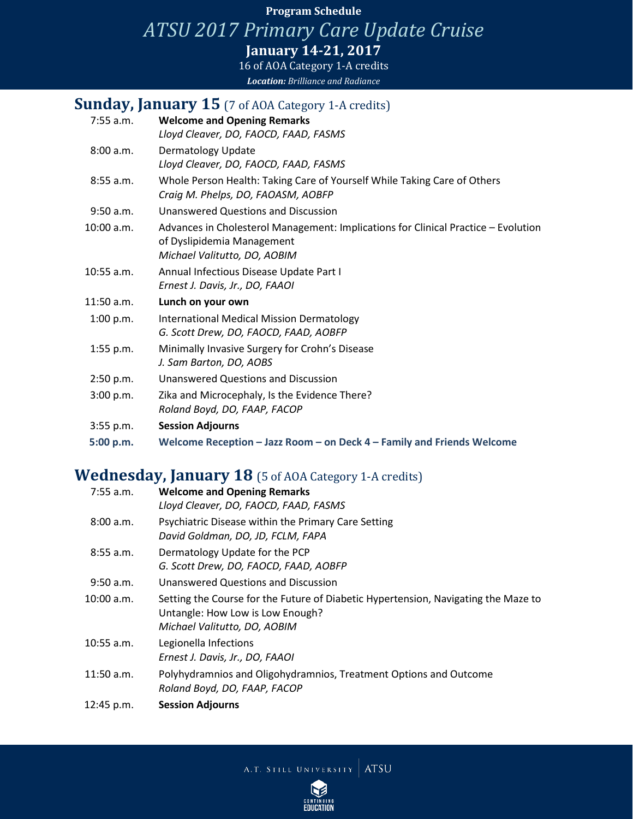### **Program Schedule**

*ATSU 2017 Primary Care Update Cruise*

**January 14-21, 2017**

16 of AOA Category 1-A credits *Location: Brilliance and Radiance*

## **Sunday, January 15** (7 of AOA Category 1-A credits)

| 7:55 a.m.   | <b>Welcome and Opening Remarks</b>                                                                                                               |
|-------------|--------------------------------------------------------------------------------------------------------------------------------------------------|
|             | Lloyd Cleaver, DO, FAOCD, FAAD, FASMS                                                                                                            |
| 8:00 a.m.   | Dermatology Update<br>Lloyd Cleaver, DO, FAOCD, FAAD, FASMS                                                                                      |
| $8:55$ a.m. | Whole Person Health: Taking Care of Yourself While Taking Care of Others<br>Craig M. Phelps, DO, FAOASM, AOBFP                                   |
| $9:50$ a.m. | <b>Unanswered Questions and Discussion</b>                                                                                                       |
| 10:00 a.m.  | Advances in Cholesterol Management: Implications for Clinical Practice - Evolution<br>of Dyslipidemia Management<br>Michael Valitutto, DO, AOBIM |
| 10:55 a.m.  | Annual Infectious Disease Update Part I<br>Ernest J. Davis, Jr., DO, FAAOI                                                                       |
| 11:50 a.m.  | Lunch on your own                                                                                                                                |
| 1:00 p.m.   | <b>International Medical Mission Dermatology</b><br>G. Scott Drew, DO, FAOCD, FAAD, AOBFP                                                        |
| $1:55$ p.m. | Minimally Invasive Surgery for Crohn's Disease<br>J. Sam Barton, DO, AOBS                                                                        |
| 2:50 p.m.   | <b>Unanswered Questions and Discussion</b>                                                                                                       |
| 3:00 p.m.   | Zika and Microcephaly, Is the Evidence There?<br>Roland Boyd, DO, FAAP, FACOP                                                                    |
| 3:55 p.m.   | <b>Session Adjourns</b>                                                                                                                          |
| 5:00 p.m.   | Welcome Reception - Jazz Room - on Deck 4 - Family and Friends Welcome                                                                           |

# **Wednesday, January 18** (5 of AOA Category 1-A credits)

| $7:55$ a.m.  | <b>Welcome and Opening Remarks</b><br>Lloyd Cleaver, DO, FAOCD, FAAD, FASMS                                                                            |
|--------------|--------------------------------------------------------------------------------------------------------------------------------------------------------|
| 8:00 a.m.    | Psychiatric Disease within the Primary Care Setting<br>David Goldman, DO, JD, FCLM, FAPA                                                               |
| $8:55$ a.m.  | Dermatology Update for the PCP<br>G. Scott Drew, DO, FAOCD, FAAD, AOBFP                                                                                |
| $9:50$ a.m.  | Unanswered Questions and Discussion                                                                                                                    |
| 10:00 a.m.   | Setting the Course for the Future of Diabetic Hypertension, Navigating the Maze to<br>Untangle: How Low is Low Enough?<br>Michael Valitutto, DO, AOBIM |
| $10:55$ a.m. | Legionella Infections<br>Ernest J. Davis, Jr., DO, FAAOI                                                                                               |
| $11:50$ a.m. | Polyhydramnios and Oligohydramnios, Treatment Options and Outcome<br>Roland Boyd, DO, FAAP, FACOP                                                      |
| 12:45 p.m.   | <b>Session Adjourns</b>                                                                                                                                |

A.T. STILL UNIVERSITY ATSU